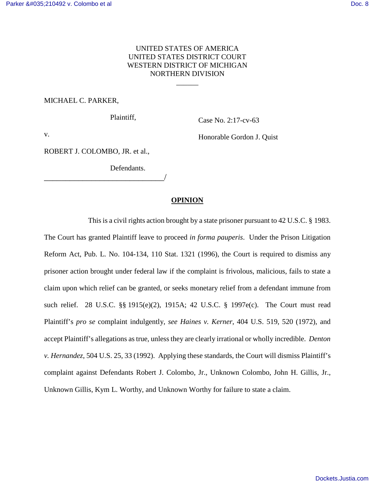## UNITED STATES OF AMERICA UNITED STATES DISTRICT COURT WESTERN DISTRICT OF MICHIGAN NORTHERN DIVISION

 $\overline{\phantom{a}}$ 

#### MICHAEL C. PARKER,

Plaintiff,

Case No. 2:17-cv-63

v.

Honorable Gordon J. Quist

ROBERT J. COLOMBO, JR. et al.,

\_\_\_\_\_\_\_\_\_\_\_\_\_\_\_\_\_\_\_\_\_\_\_\_\_\_\_\_/

Defendants.

#### **OPINION**

 This is a civil rights action brought by a state prisoner pursuant to 42 U.S.C. § 1983. The Court has granted Plaintiff leave to proceed *in forma pauperis*. Under the Prison Litigation Reform Act, Pub. L. No. 104-134, 110 Stat. 1321 (1996), the Court is required to dismiss any prisoner action brought under federal law if the complaint is frivolous, malicious, fails to state a claim upon which relief can be granted, or seeks monetary relief from a defendant immune from such relief. 28 U.S.C. §§ 1915(e)(2), 1915A; 42 U.S.C. § 1997e(c). The Court must read Plaintiff's *pro se* complaint indulgently, *see Haines v. Kerner*, 404 U.S. 519, 520 (1972), and accept Plaintiff's allegations as true, unless they are clearly irrational or wholly incredible. *Denton v. Hernandez*, 504 U.S. 25, 33 (1992). Applying these standards, the Court will dismiss Plaintiff's complaint against Defendants Robert J. Colombo, Jr., Unknown Colombo, John H. Gillis, Jr., Unknown Gillis, Kym L. Worthy, and Unknown Worthy for failure to state a claim.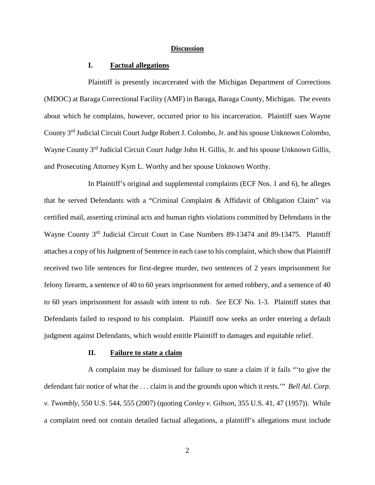#### **Discussion**

### **I. Factual allegations**

 Plaintiff is presently incarcerated with the Michigan Department of Corrections (MDOC) at Baraga Correctional Facility (AMF) in Baraga, Baraga County, Michigan. The events about which he complains, however, occurred prior to his incarceration. Plaintiff sues Wayne County 3rd Judicial Circuit Court Judge Robert J. Colombo, Jr. and his spouse Unknown Colombo, Wayne County 3<sup>rd</sup> Judicial Circuit Court Judge John H. Gillis, Jr. and his spouse Unknown Gillis, and Prosecuting Attorney Kym L. Worthy and her spouse Unknown Worthy.

 In Plaintiff's original and supplemental complaints (ECF Nos. 1 and 6), he alleges that he served Defendants with a "Criminal Complaint & Affidavit of Obligation Claim" via certified mail, asserting criminal acts and human rights violations committed by Defendants in the Wayne County 3rd Judicial Circuit Court in Case Numbers 89-13474 and 89-13475. Plaintiff attaches a copy of his Judgment of Sentence in each case to his complaint, which show that Plaintiff received two life sentences for first-degree murder, two sentences of 2 years imprisonment for felony firearm, a sentence of 40 to 60 years imprisonment for armed robbery, and a sentence of 40 to 60 years imprisonment for assault with intent to rob. *See* ECF No. 1-3. Plaintiff states that Defendants failed to respond to his complaint. Plaintiff now seeks an order entering a default judgment against Defendants, which would entitle Plaintiff to damages and equitable relief.

#### **II. Failure to state a claim**

 A complaint may be dismissed for failure to state a claim if it fails "'to give the defendant fair notice of what the . . . claim is and the grounds upon which it rests.'" *Bell Atl. Corp. v. Twombly*, 550 U.S. 544, 555 (2007) (quoting *Conley v. Gibson*, 355 U.S. 41, 47 (1957)). While a complaint need not contain detailed factual allegations, a plaintiff's allegations must include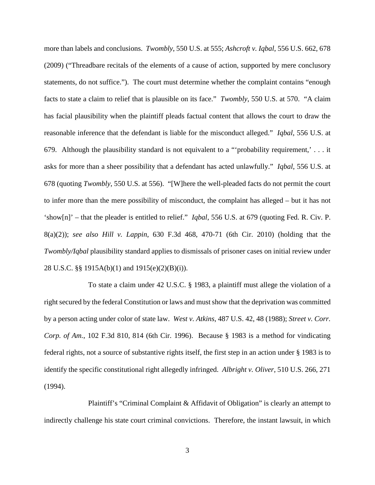more than labels and conclusions. *Twombly*, 550 U.S. at 555; *Ashcroft v. Iqbal*, 556 U.S. 662, 678 (2009) ("Threadbare recitals of the elements of a cause of action, supported by mere conclusory statements, do not suffice."). The court must determine whether the complaint contains "enough facts to state a claim to relief that is plausible on its face." *Twombly*, 550 U.S. at 570. "A claim has facial plausibility when the plaintiff pleads factual content that allows the court to draw the reasonable inference that the defendant is liable for the misconduct alleged." *Iqbal*, 556 U.S. at 679. Although the plausibility standard is not equivalent to a "'probability requirement,' . . . it asks for more than a sheer possibility that a defendant has acted unlawfully." *Iqbal*, 556 U.S. at 678 (quoting *Twombly*, 550 U.S. at 556). "[W]here the well-pleaded facts do not permit the court to infer more than the mere possibility of misconduct, the complaint has alleged – but it has not 'show[n]' – that the pleader is entitled to relief." *Iqbal*, 556 U.S. at 679 (quoting Fed. R. Civ. P. 8(a)(2)); *see also Hill v. Lappin*, 630 F.3d 468, 470-71 (6th Cir. 2010) (holding that the *Twombly/Iqbal* plausibility standard applies to dismissals of prisoner cases on initial review under 28 U.S.C. §§ 1915A(b)(1) and 1915(e)(2)(B)(i)).

 To state a claim under 42 U.S.C. § 1983, a plaintiff must allege the violation of a right secured by the federal Constitution or laws and must show that the deprivation was committed by a person acting under color of state law. *West v. Atkins*, 487 U.S. 42, 48 (1988); *Street v. Corr. Corp. of Am.*, 102 F.3d 810, 814 (6th Cir. 1996). Because § 1983 is a method for vindicating federal rights, not a source of substantive rights itself, the first step in an action under § 1983 is to identify the specific constitutional right allegedly infringed. *Albright v. Oliver*, 510 U.S. 266, 271 (1994).

Plaintiff's "Criminal Complaint & Affidavit of Obligation" is clearly an attempt to indirectly challenge his state court criminal convictions. Therefore, the instant lawsuit, in which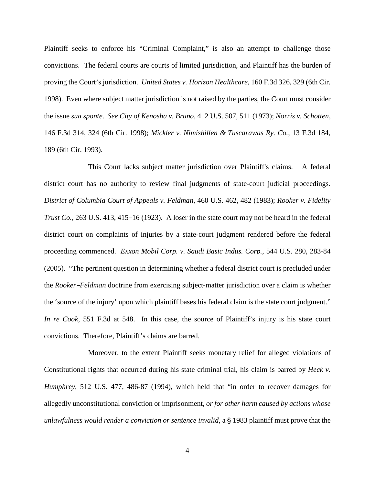Plaintiff seeks to enforce his "Criminal Complaint," is also an attempt to challenge those convictions. The federal courts are courts of limited jurisdiction, and Plaintiff has the burden of proving the Court's jurisdiction. *United States v. Horizon Healthcare*, 160 F.3d 326, 329 (6th Cir. 1998). Even where subject matter jurisdiction is not raised by the parties, the Court must consider the issue *sua sponte*. *See City of Kenosha v. Bruno*, 412 U.S. 507, 511 (1973); *Norris v. Schotten*, 146 F.3d 314, 324 (6th Cir. 1998); *Mickler v. Nimishillen & Tuscarawas Ry. Co.*, 13 F.3d 184, 189 (6th Cir. 1993).

This Court lacks subject matter jurisdiction over Plaintiff's claims. A federal district court has no authority to review final judgments of state-court judicial proceedings. *District of Columbia Court of Appeals v. Feldman*, 460 U.S. 462, 482 (1983); *Rooker v. Fidelity Trust Co.*, 263 U.S. 413, 415–16 (1923). A loser in the state court may not be heard in the federal district court on complaints of injuries by a state-court judgment rendered before the federal proceeding commenced. *Exxon Mobil Corp. v. Saudi Basic Indus. Corp.*, 544 U.S. 280, 283-84 (2005). "The pertinent question in determining whether a federal district court is precluded under the *Rooker-Feldman* doctrine from exercising subject-matter jurisdiction over a claim is whether the 'source of the injury' upon which plaintiff bases his federal claim is the state court judgment." *In re Cook*, 551 F.3d at 548. In this case, the source of Plaintiff's injury is his state court convictions. Therefore, Plaintiff's claims are barred.

Moreover, to the extent Plaintiff seeks monetary relief for alleged violations of Constitutional rights that occurred during his state criminal trial, his claim is barred by *Heck v. Humphrey*, 512 U.S. 477, 486-87 (1994), which held that "in order to recover damages for allegedly unconstitutional conviction or imprisonment, *or for other harm caused by actions whose unlawfulness would render a conviction or sentence invalid,* a § 1983 plaintiff must prove that the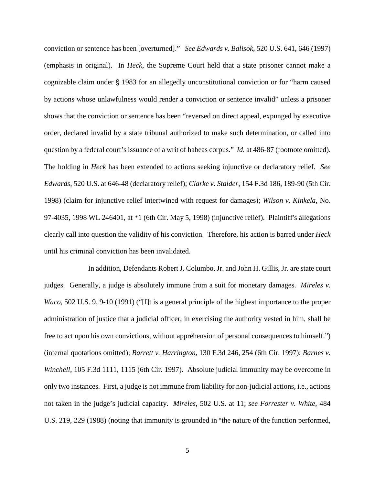conviction or sentence has been [overturned]." *See Edwards v. Balisok*, 520 U.S. 641, 646 (1997) (emphasis in original). In *Heck*, the Supreme Court held that a state prisoner cannot make a cognizable claim under § 1983 for an allegedly unconstitutional conviction or for "harm caused by actions whose unlawfulness would render a conviction or sentence invalid" unless a prisoner shows that the conviction or sentence has been "reversed on direct appeal, expunged by executive order, declared invalid by a state tribunal authorized to make such determination, or called into question by a federal court's issuance of a writ of habeas corpus." *Id.* at 486-87 (footnote omitted). The holding in *Heck* has been extended to actions seeking injunctive or declaratory relief. *See Edwards*, 520 U.S. at 646-48 (declaratory relief); *Clarke v. Stalder*, 154 F.3d 186, 189-90 (5th Cir. 1998) (claim for injunctive relief intertwined with request for damages); *Wilson v. Kinkela*, No. 97-4035, 1998 WL 246401, at  $*1$  (6th Cir. May 5, 1998) (injunctive relief). Plaintiff's allegations clearly call into question the validity of his conviction. Therefore, his action is barred under *Heck* until his criminal conviction has been invalidated.

In addition, Defendants Robert J. Columbo, Jr. and John H. Gillis, Jr. are state court judges. Generally, a judge is absolutely immune from a suit for monetary damages. *Mireles v. Waco*, 502 U.S. 9, 9-10 (1991) ("[I]t is a general principle of the highest importance to the proper administration of justice that a judicial officer, in exercising the authority vested in him, shall be free to act upon his own convictions, without apprehension of personal consequences to himself.") (internal quotations omitted); *Barrett v. Harrington*, 130 F.3d 246, 254 (6th Cir. 1997); *Barnes v. Winchell*, 105 F.3d 1111, 1115 (6th Cir. 1997). Absolute judicial immunity may be overcome in only two instances. First, a judge is not immune from liability for non-judicial actions, i.e., actions not taken in the judge's judicial capacity. *Mireles*, 502 U.S. at 11; *see Forrester v. White*, 484 U.S. 219, 229 (1988) (noting that immunity is grounded in "the nature of the function performed,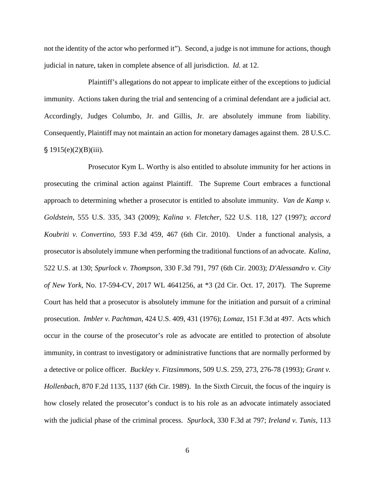not the identity of the actor who performed it"). Second, a judge is not immune for actions, though judicial in nature, taken in complete absence of all jurisdiction. *Id.* at 12.

Plaintiff's allegations do not appear to implicate either of the exceptions to judicial immunity. Actions taken during the trial and sentencing of a criminal defendant are a judicial act. Accordingly, Judges Columbo, Jr. and Gillis, Jr. are absolutely immune from liability. Consequently, Plaintiff may not maintain an action for monetary damages against them. 28 U.S.C.  $$ 1915(e)(2)(B)(iii).$ 

Prosecutor Kym L. Worthy is also entitled to absolute immunity for her actions in prosecuting the criminal action against Plaintiff. The Supreme Court embraces a functional approach to determining whether a prosecutor is entitled to absolute immunity. *Van de Kamp v. Goldstein*, 555 U.S. 335, 343 (2009); *Kalina v. Fletcher*, 522 U.S. 118, 127 (1997); *accord Koubriti v. Convertino*, 593 F.3d 459, 467 (6th Cir. 2010). Under a functional analysis, a prosecutor is absolutely immune when performing the traditional functions of an advocate. *Kalina*, 522 U.S. at 130; *Spurlock v. Thompson*, 330 F.3d 791, 797 (6th Cir. 2003); *D'Alessandro v. City of New York*, No. 17-594-CV, 2017 WL 4641256, at \*3 (2d Cir. Oct. 17, 2017). The Supreme Court has held that a prosecutor is absolutely immune for the initiation and pursuit of a criminal prosecution. *Imbler v. Pachtman*, 424 U.S. 409, 431 (1976); *Lomaz*, 151 F.3d at 497. Acts which occur in the course of the prosecutor's role as advocate are entitled to protection of absolute immunity, in contrast to investigatory or administrative functions that are normally performed by a detective or police officer. *Buckley v. Fitzsimmons*, 509 U.S. 259, 273, 276-78 (1993); *Grant v. Hollenbach*, 870 F.2d 1135, 1137 (6th Cir. 1989). In the Sixth Circuit, the focus of the inquiry is how closely related the prosecutor's conduct is to his role as an advocate intimately associated with the judicial phase of the criminal process. *Spurlock*, 330 F.3d at 797; *Ireland v. Tunis*, 113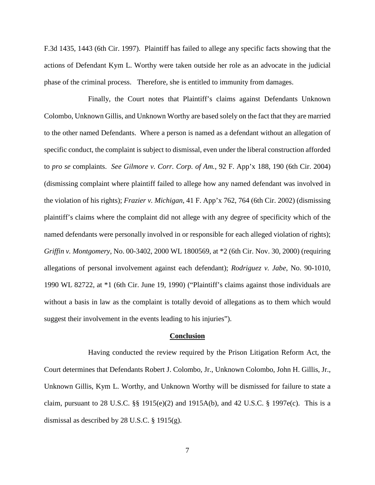F.3d 1435, 1443 (6th Cir. 1997). Plaintiff has failed to allege any specific facts showing that the actions of Defendant Kym L. Worthy were taken outside her role as an advocate in the judicial phase of the criminal process. Therefore, she is entitled to immunity from damages.

Finally, the Court notes that Plaintiff's claims against Defendants Unknown Colombo, Unknown Gillis, and Unknown Worthy are based solely on the fact that they are married to the other named Defendants. Where a person is named as a defendant without an allegation of specific conduct, the complaint is subject to dismissal, even under the liberal construction afforded to *pro se* complaints. *See Gilmore v. Corr. Corp. of Am.*, 92 F. App'x 188, 190 (6th Cir. 2004) (dismissing complaint where plaintiff failed to allege how any named defendant was involved in the violation of his rights); *Frazier v. Michigan*, 41 F. App'x 762, 764 (6th Cir. 2002) (dismissing plaintiff's claims where the complaint did not allege with any degree of specificity which of the named defendants were personally involved in or responsible for each alleged violation of rights); *Griffin v. Montgomery*, No. 00-3402, 2000 WL 1800569, at \*2 (6th Cir. Nov. 30, 2000) (requiring allegations of personal involvement against each defendant); *Rodriguez v. Jabe*, No. 90-1010, 1990 WL 82722, at \*1 (6th Cir. June 19, 1990) ("Plaintiff's claims against those individuals are without a basis in law as the complaint is totally devoid of allegations as to them which would suggest their involvement in the events leading to his injuries").

#### **Conclusion**

 Having conducted the review required by the Prison Litigation Reform Act, the Court determines that Defendants Robert J. Colombo, Jr., Unknown Colombo, John H. Gillis, Jr., Unknown Gillis, Kym L. Worthy, and Unknown Worthy will be dismissed for failure to state a claim, pursuant to 28 U.S.C. §§ 1915(e)(2) and 1915A(b), and 42 U.S.C. § 1997e(c). This is a dismissal as described by 28 U.S.C. § 1915(g).